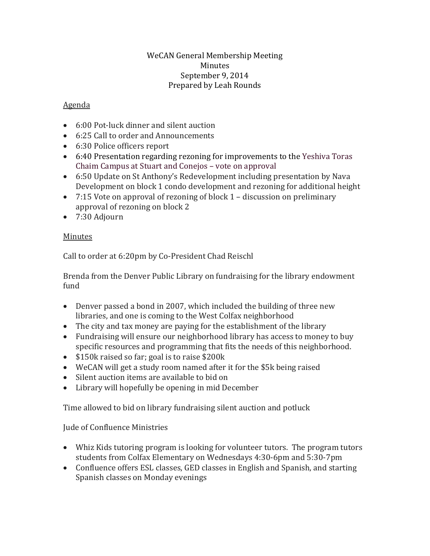## WeCAN General Membership Meeting Minutes September 9, 2014 Prepared by Leah Rounds

## Agenda

- 6:00 Pot-luck dinner and silent auction
- 6:25 Call to order and Announcements
- 6:30 Police officers report
- 6:40 Presentation regarding rezoning for improvements to the Yeshiva Toras Chaim Campus at Stuart and Conejos – vote on approval
- 6:50 Update on St Anthony's Redevelopment including presentation by Nava Development on block 1 condo development and rezoning for additional height
- 7:15 Vote on approval of rezoning of block 1 discussion on preliminary approval of rezoning on block 2
- 7:30 Adjourn

## Minutes

Call to order at 6:20pm by Co-President Chad Reischl

Brenda from the Denver Public Library on fundraising for the library endowment fund

- Denver passed a bond in 2007, which included the building of three new libraries, and one is coming to the West Colfax neighborhood
- The city and tax money are paying for the establishment of the library
- Fundraising will ensure our neighborhood library has access to money to buy specific resources and programming that fits the needs of this neighborhood.
- \$150k raised so far; goal is to raise \$200k
- WeCAN will get a study room named after it for the \$5k being raised
- Silent auction items are available to bid on
- Library will hopefully be opening in mid December

Time allowed to bid on library fundraising silent auction and potluck

Jude of Confluence Ministries

- Whiz Kids tutoring program is looking for volunteer tutors. The program tutors students from Colfax Elementary on Wednesdays 4:30-6pm and 5:30-7pm
- Confluence offers ESL classes, GED classes in English and Spanish, and starting Spanish classes on Monday evenings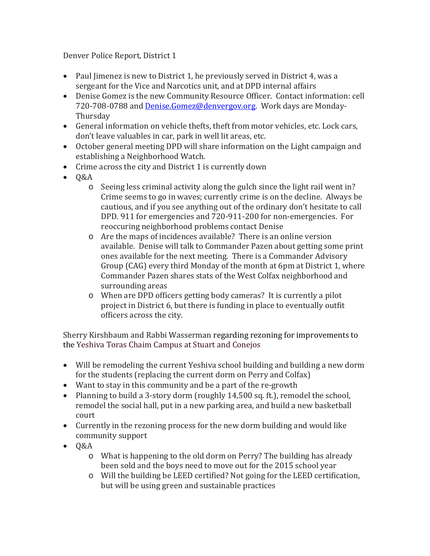Denver Police Report, District 1

- Paul Iimenez is new to District 1, he previously served in District 4, was a sergeant for the Vice and Narcotics unit, and at DPD internal affairs
- Denise Gomez is the new Community Resource Officer. Contact information: cell 720-708-0788 and [Denise.Gomez@denvergov.org.](mailto:Denise.Gomez@denvergov.org) Work days are Monday-Thursday
- General information on vehicle thefts, theft from motor vehicles, etc. Lock cars, don't leave valuables in car, park in well lit areas, etc.
- October general meeting DPD will share information on the Light campaign and establishing a Neighborhood Watch.
- Crime across the city and District 1 is currently down
- Q&A
	- o Seeing less criminal activity along the gulch since the light rail went in? Crime seems to go in waves; currently crime is on the decline. Always be cautious, and if you see anything out of the ordinary don't hesitate to call DPD. 911 for emergencies and 720-911-200 for non-emergencies. For reoccuring neighborhood problems contact Denise
	- o Are the maps of incidences available? There is an online version available. Denise will talk to Commander Pazen about getting some print ones available for the next meeting. There is a Commander Advisory Group (CAG) every third Monday of the month at 6pm at District 1, where Commander Pazen shares stats of the West Colfax neighborhood and surrounding areas
	- o When are DPD officers getting body cameras? It is currently a pilot project in District 6, but there is funding in place to eventually outfit officers across the city.

Sherry Kirshbaum and Rabbi Wasserman regarding rezoning for improvements to the Yeshiva Toras Chaim Campus at Stuart and Conejos

- Will be remodeling the current Yeshiva school building and building a new dorm for the students (replacing the current dorm on Perry and Colfax)
- Want to stay in this community and be a part of the re-growth
- Planning to build a 3-story dorm (roughly 14,500 sq. ft.), remodel the school, remodel the social hall, put in a new parking area, and build a new basketball court
- Currently in the rezoning process for the new dorm building and would like community support
- Q&A
	- o What is happening to the old dorm on Perry? The building has already been sold and the boys need to move out for the 2015 school year
	- o Will the building be LEED certified? Not going for the LEED certification, but will be using green and sustainable practices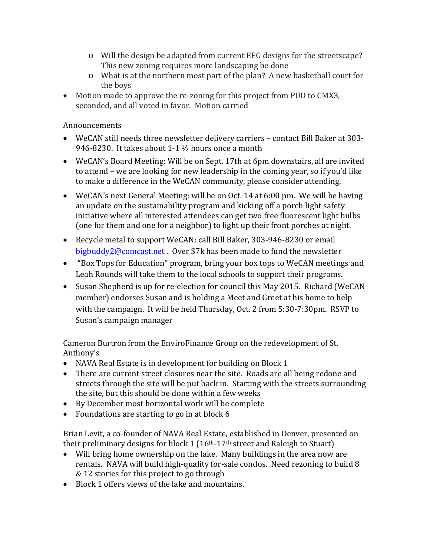- o Will the design be adapted from current EFG designs for the streetscape? This new zoning requires more landscaping be done
- o What is at the northern most part of the plan? A new basketball court for the boys
- Motion made to approve the re-zoning for this project from PUD to CMX3, seconded, and all voted in favor. Motion carried

## Announcements

- WeCAN still needs three newsletter delivery carriers contact Bill Baker at 303- 946-8230. It takes about 1-1 ½ hours once a month
- WeCAN's Board Meeting: Will be on Sept. 17th at 6pm downstairs, all are invited to attend – we are looking for new leadership in the coming year, so if you'd like to make a difference in the WeCAN community, please consider attending.
- WeCAN's next General Meeting: will be on Oct. 14 at 6:00 pm. We will be having an update on the sustainability program and kicking off a porch light safety initiative where all interested attendees can get two free fluorescent light bulbs (one for them and one for a neighbor) to light up their front porches at night.
- Recycle metal to support WeCAN: call Bill Baker, 303-946-8230 or email [bigbuddy2@comcast.net](mailto:bigbuddy2@comcast.net) . Over \$7k has been made to fund the newsletter
- "Box Tops for Education" program, bring your box tops to WeCAN meetings and Leah Rounds will take them to the local schools to support their programs.
- Susan Shepherd is up for re-election for council this May 2015. Richard (WeCAN member) endorses Susan and is holding a Meet and Greet at his home to help with the campaign. It will be held Thursday, Oct. 2 from 5:30-7:30pm. RSVP to Susan's campaign manager

Cameron Burtron from the EnviroFinance Group on the redevelopment of St. Anthony's

- NAVA Real Estate is in development for building on Block 1
- There are current street closures near the site. Roads are all being redone and streets through the site will be put back in. Starting with the streets surrounding the site, but this should be done within a few weeks
- By December most horizontal work will be complete
- Foundations are starting to go in at block 6

Brian Levit, a co-founder of NAVA Real Estate, established in Denver, presented on their preliminary designs for block  $1 (16<sup>th</sup>-17<sup>th</sup>$  street and Raleigh to Stuart)

- Will bring home ownership on the lake. Many buildings in the area now are rentals. NAVA will build high-quality for-sale condos. Need rezoning to build 8 & 12 stories for this project to go through
- Block 1 offers views of the lake and mountains.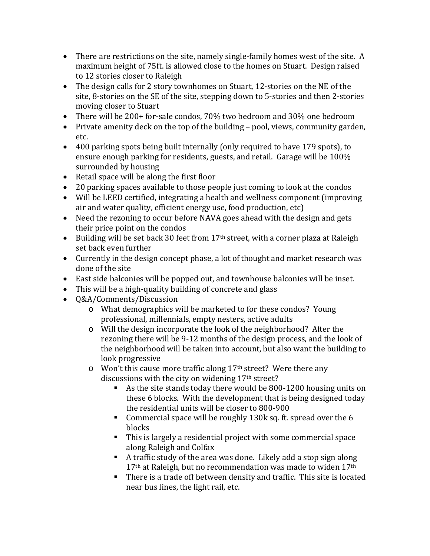- There are restrictions on the site, namely single-family homes west of the site. A maximum height of 75ft. is allowed close to the homes on Stuart. Design raised to 12 stories closer to Raleigh
- The design calls for 2 story townhomes on Stuart, 12-stories on the NE of the site, 8-stories on the SE of the site, stepping down to 5-stories and then 2-stories moving closer to Stuart
- There will be 200+ for-sale condos, 70% two bedroom and 30% one bedroom
- Private amenity deck on the top of the building pool, views, community garden, etc.
- 400 parking spots being built internally (only required to have 179 spots), to ensure enough parking for residents, guests, and retail. Garage will be 100% surrounded by housing
- Retail space will be along the first floor
- 20 parking spaces available to those people just coming to look at the condos
- Will be LEED certified, integrating a health and wellness component (improving air and water quality, efficient energy use, food production, etc)
- Need the rezoning to occur before NAVA goes ahead with the design and gets their price point on the condos
- Building will be set back 30 feet from 17<sup>th</sup> street, with a corner plaza at Raleigh set back even further
- Currently in the design concept phase, a lot of thought and market research was done of the site
- East side balconies will be popped out, and townhouse balconies will be inset.
- This will be a high-quality building of concrete and glass
- Q&A/Comments/Discussion
	- o What demographics will be marketed to for these condos? Young professional, millennials, empty nesters, active adults
	- o Will the design incorporate the look of the neighborhood? After the rezoning there will be 9-12 months of the design process, and the look of the neighborhood will be taken into account, but also want the building to look progressive
	- $\circ$  Won't this cause more traffic along 17<sup>th</sup> street? Were there any discussions with the city on widening 17<sup>th</sup> street?
		- As the site stands today there would be 800-1200 housing units on these 6 blocks. With the development that is being designed today the residential units will be closer to 800-900
		- Commercial space will be roughly 130k sq. ft. spread over the 6 blocks
		- This is largely a residential project with some commercial space along Raleigh and Colfax
		- A traffic study of the area was done. Likely add a stop sign along 17<sup>th</sup> at Raleigh, but no recommendation was made to widen 17<sup>th</sup>
		- There is a trade off between density and traffic. This site is located near bus lines, the light rail, etc.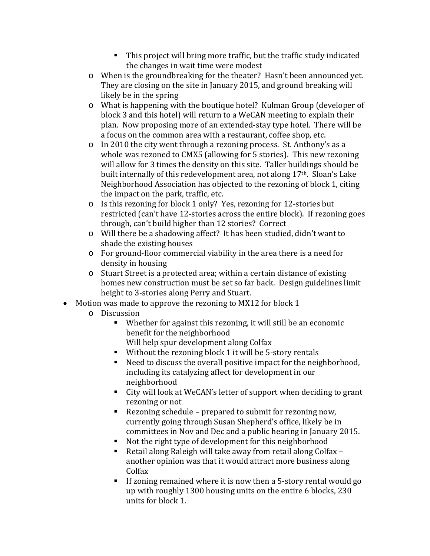- This project will bring more traffic, but the traffic study indicated the changes in wait time were modest
- o When is the groundbreaking for the theater? Hasn't been announced yet. They are closing on the site in January 2015, and ground breaking will likely be in the spring
- o What is happening with the boutique hotel? Kulman Group (developer of block 3 and this hotel) will return to a WeCAN meeting to explain their plan. Now proposing more of an extended-stay type hotel. There will be a focus on the common area with a restaurant, coffee shop, etc.
- o In 2010 the city went through a rezoning process. St. Anthony's as a whole was rezoned to CMX5 (allowing for 5 stories). This new rezoning will allow for 3 times the density on this site. Taller buildings should be built internally of this redevelopment area, not along 17th. Sloan's Lake Neighborhood Association has objected to the rezoning of block 1, citing the impact on the park, traffic, etc.
- o Is this rezoning for block 1 only? Yes, rezoning for 12-stories but restricted (can't have 12-stories across the entire block). If rezoning goes through, can't build higher than 12 stories? Correct
- o Will there be a shadowing affect? It has been studied, didn't want to shade the existing houses
- o For ground-floor commercial viability in the area there is a need for density in housing
- o Stuart Street is a protected area; within a certain distance of existing homes new construction must be set so far back. Design guidelines limit height to 3-stories along Perry and Stuart.
- Motion was made to approve the rezoning to MX12 for block 1
	- o Discussion
		- Whether for against this rezoning, it will still be an economic benefit for the neighborhood Will help spur development along Colfax
		- Without the rezoning block 1 it will be 5-story rentals
		- Need to discuss the overall positive impact for the neighborhood, including its catalyzing affect for development in our neighborhood
		- City will look at WeCAN's letter of support when deciding to grant rezoning or not
		- Rezoning schedule prepared to submit for rezoning now, currently going through Susan Shepherd's office, likely be in committees in Nov and Dec and a public hearing in January 2015.
		- Not the right type of development for this neighborhood
		- Retail along Raleigh will take away from retail along Colfax another opinion was that it would attract more business along Colfax
		- If zoning remained where it is now then a 5-story rental would go up with roughly 1300 housing units on the entire 6 blocks, 230 units for block 1.